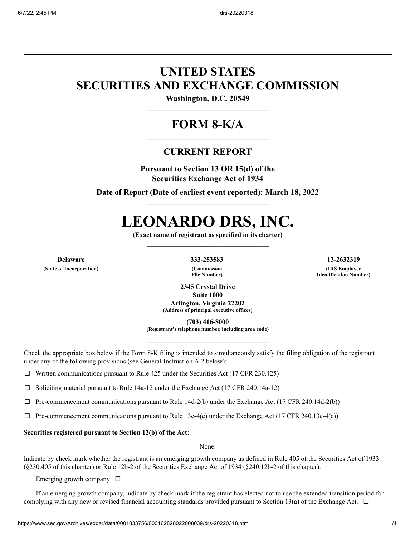## **UNITED STATES SECURITIES AND EXCHANGE COMMISSION**

**Washington, D.C. 20549**

### **FORM 8-K/A**

### **CURRENT REPORT**

**Pursuant to Section 13 OR 15(d) of the Securities Exchange Act of 1934**

**Date of Report (Date of earliest event reported): March 18, 2022**

# **LEONARDO DRS, INC.**

**(Exact name of registrant as specified in its charter)**

**(State of Incorporation) (Commission**

**File Number)**

**Delaware 333-253583 13-2632319 (IRS Employer Identification Number)**

> **2345 Crystal Drive Suite 1000 Arlington, Virginia 22202 (Address of principal executive offices)**

> > **(703) 416-8000**

**(Registrant's telephone number, including area code)**

Check the appropriate box below if the Form 8-K filing is intended to simultaneously satisfy the filing obligation of the registrant under any of the following provisions (see General Instruction A.2.below):

 $\Box$  Written communications pursuant to Rule 425 under the Securities Act (17 CFR 230.425)

☐ Soliciting material pursuant to Rule 14a-12 under the Exchange Act (17 CFR 240.14a-12)

 $\Box$  Pre-commencement communications pursuant to Rule 14d-2(b) under the Exchange Act (17 CFR 240.14d-2(b))

 $\Box$  Pre-commencement communications pursuant to Rule 13e-4(c) under the Exchange Act (17 CFR 240.13e-4(c))

#### **Securities registered pursuant to Section 12(b) of the Act:**

None.

Indicate by check mark whether the registrant is an emerging growth company as defined in Rule 405 of the Securities Act of 1933 (§230.405 of this chapter) or Rule 12b-2 of the Securities Exchange Act of 1934 (§240.12b-2 of this chapter).

Emerging growth company  $\Box$ 

If an emerging growth company, indicate by check mark if the registrant has elected not to use the extended transition period for complying with any new or revised financial accounting standards provided pursuant to Section 13(a) of the Exchange Act.  $\Box$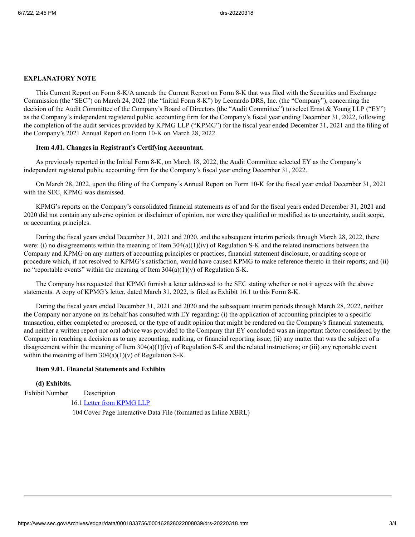#### **EXPLANATORY NOTE**

This Current Report on Form 8-K/A amends the Current Report on Form 8-K that was filed with the Securities and Exchange Commission (the "SEC") on March 24, 2022 (the "Initial Form 8-K") by Leonardo DRS, Inc. (the "Company"), concerning the decision of the Audit Committee of the Company's Board of Directors (the "Audit Committee") to select Ernst & Young LLP ("EY") as the Company's independent registered public accounting firm for the Company's fiscal year ending December 31, 2022, following the completion of the audit services provided by KPMG LLP ("KPMG") for the fiscal year ended December 31, 2021 and the filing of the Company's 2021 Annual Report on Form 10-K on March 28, 2022.

#### **Item 4.01. Changes in Registrant's Certifying Accountant.**

As previously reported in the Initial Form 8-K, on March 18, 2022, the Audit Committee selected EY as the Company's independent registered public accounting firm for the Company's fiscal year ending December 31, 2022.

On March 28, 2022, upon the filing of the Company's Annual Report on Form 10-K for the fiscal year ended December 31, 2021 with the SEC, KPMG was dismissed.

KPMG's reports on the Company's consolidated financial statements as of and for the fiscal years ended December 31, 2021 and 2020 did not contain any adverse opinion or disclaimer of opinion, nor were they qualified or modified as to uncertainty, audit scope, or accounting principles.

During the fiscal years ended December 31, 2021 and 2020, and the subsequent interim periods through March 28, 2022, there were: (i) no disagreements within the meaning of Item  $304(a)(1)(iv)$  of Regulation S-K and the related instructions between the Company and KPMG on any matters of accounting principles or practices, financial statement disclosure, or auditing scope or procedure which, if not resolved to KPMG's satisfaction, would have caused KPMG to make reference thereto in their reports; and (ii) no "reportable events" within the meaning of Item  $304(a)(1)(v)$  of Regulation S-K.

The Company has requested that KPMG furnish a letter addressed to the SEC stating whether or not it agrees with the above statements. A copy of KPMG's letter, dated March 31, 2022, is filed as Exhibit 16.1 to this Form 8‑K.

During the fiscal years ended December 31, 2021 and 2020 and the subsequent interim periods through March 28, 2022, neither the Company nor anyone on its behalf has consulted with EY regarding: (i) the application of accounting principles to a specific transaction, either completed or proposed, or the type of audit opinion that might be rendered on the Company's financial statements, and neither a written report nor oral advice was provided to the Company that EY concluded was an important factor considered by the Company in reaching a decision as to any accounting, auditing, or financial reporting issue; (ii) any matter that was the subject of a disagreement within the meaning of Item 304(a)(1)(iv) of Regulation S-K and the related instructions; or (iii) any reportable event within the meaning of Item  $304(a)(1)(v)$  of Regulation S-K.

#### **Item 9.01. Financial Statements and Exhibits**

#### **(d) Exhibits.**

Exhibit Number Description

16.1 Letter from [KPMG](https://www.sec.gov/Archives/edgar/data/0001833756/000162828022008039/drs8-karesponseletter.htm) LLP

104 Cover Page Interactive Data File (formatted as Inline XBRL)